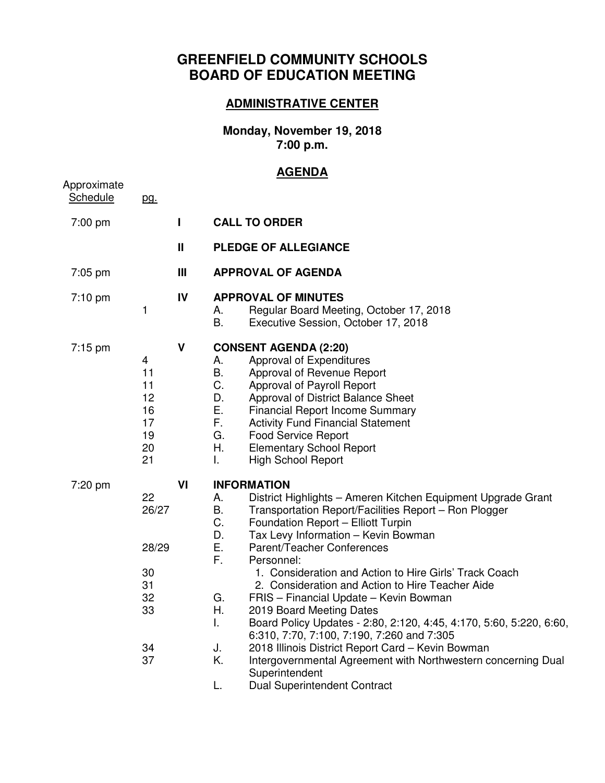## **GREENFIELD COMMUNITY SCHOOLS BOARD OF EDUCATION MEETING**

## **ADMINISTRATIVE CENTER**

**Monday, November 19, 2018 7:00 p.m.** 

## **AGENDA**

| Approximate<br>Schedule | pg.                                                      |                |                                                                                                                                                                                                                                                                                                                                                                                                                                                                                                                                                                                                                                                                                                                                                                                                                                      |
|-------------------------|----------------------------------------------------------|----------------|--------------------------------------------------------------------------------------------------------------------------------------------------------------------------------------------------------------------------------------------------------------------------------------------------------------------------------------------------------------------------------------------------------------------------------------------------------------------------------------------------------------------------------------------------------------------------------------------------------------------------------------------------------------------------------------------------------------------------------------------------------------------------------------------------------------------------------------|
| 7:00 pm                 |                                                          | L              | <b>CALL TO ORDER</b>                                                                                                                                                                                                                                                                                                                                                                                                                                                                                                                                                                                                                                                                                                                                                                                                                 |
|                         |                                                          | $\mathbf{I}$   | <b>PLEDGE OF ALLEGIANCE</b>                                                                                                                                                                                                                                                                                                                                                                                                                                                                                                                                                                                                                                                                                                                                                                                                          |
| 7:05 pm                 |                                                          | $\mathbf{III}$ | <b>APPROVAL OF AGENDA</b>                                                                                                                                                                                                                                                                                                                                                                                                                                                                                                                                                                                                                                                                                                                                                                                                            |
| $7:10$ pm               | 1                                                        | IV             | <b>APPROVAL OF MINUTES</b><br>Regular Board Meeting, October 17, 2018<br>А.<br>B.<br>Executive Session, October 17, 2018                                                                                                                                                                                                                                                                                                                                                                                                                                                                                                                                                                                                                                                                                                             |
| $7:15$ pm               | 4<br>11<br>11<br>12<br>16<br>17<br>19<br>20<br>21        | V              | <b>CONSENT AGENDA (2:20)</b><br>Approval of Expenditures<br>А.<br><b>B.</b><br>Approval of Revenue Report<br>C.<br>Approval of Payroll Report<br>D.<br>Approval of District Balance Sheet<br>Ε.<br><b>Financial Report Income Summary</b><br>F.<br><b>Activity Fund Financial Statement</b><br>G.<br><b>Food Service Report</b><br>Η.<br><b>Elementary School Report</b><br><b>High School Report</b><br>L.                                                                                                                                                                                                                                                                                                                                                                                                                          |
| 7:20 pm                 | 22<br>26/27<br>28/29<br>30<br>31<br>32<br>33<br>34<br>37 | VI             | <b>INFORMATION</b><br>District Highlights - Ameren Kitchen Equipment Upgrade Grant<br>А.<br>В.<br>Transportation Report/Facilities Report - Ron Plogger<br>C.<br>Foundation Report - Elliott Turpin<br>D.<br>Tax Levy Information - Kevin Bowman<br>Ε.<br>Parent/Teacher Conferences<br>F.<br>Personnel:<br>1. Consideration and Action to Hire Girls' Track Coach<br>2. Consideration and Action to Hire Teacher Aide<br>G.<br>FRIS - Financial Update - Kevin Bowman<br>Η.<br>2019 Board Meeting Dates<br>L.<br>Board Policy Updates - 2:80, 2:120, 4:45, 4:170, 5:60, 5:220, 6:60,<br>6:310, 7:70, 7:100, 7:190, 7:260 and 7:305<br>J.<br>2018 Illinois District Report Card - Kevin Bowman<br>Κ.<br>Intergovernmental Agreement with Northwestern concerning Dual<br>Superintendent<br>L.<br><b>Dual Superintendent Contract</b> |